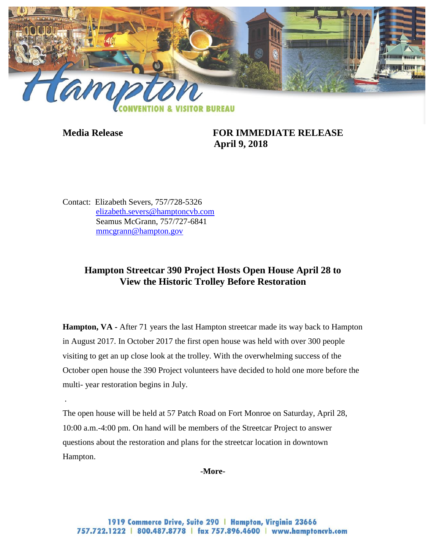

.

**Media Release FOR IMMEDIATE RELEASE April 9, 2018**

Contact: Elizabeth Severs, 757/728-5326 [elizabeth.severs@hamptoncvb.com](mailto:elizabeth.severs@hamptoncvb.com) Seamus McGrann, 757/727-6841 [mmcgrann@hampton.gov](mailto:mmcgrann@hampton.gov)

## **Hampton Streetcar 390 Project Hosts Open House April 28 to View the Historic Trolley Before Restoration**

**Hampton, VA** - After 71 years the last Hampton streetcar made its way back to Hampton in August 2017. In October 2017 the first open house was held with over 300 people visiting to get an up close look at the trolley. With the overwhelming success of the October open house the 390 Project volunteers have decided to hold one more before the multi- year restoration begins in July.

The open house will be held at 57 Patch Road on Fort Monroe on Saturday, April 28, 10:00 a.m.-4:00 pm. On hand will be members of the Streetcar Project to answer questions about the restoration and plans for the streetcar location in downtown Hampton.

**-More-**